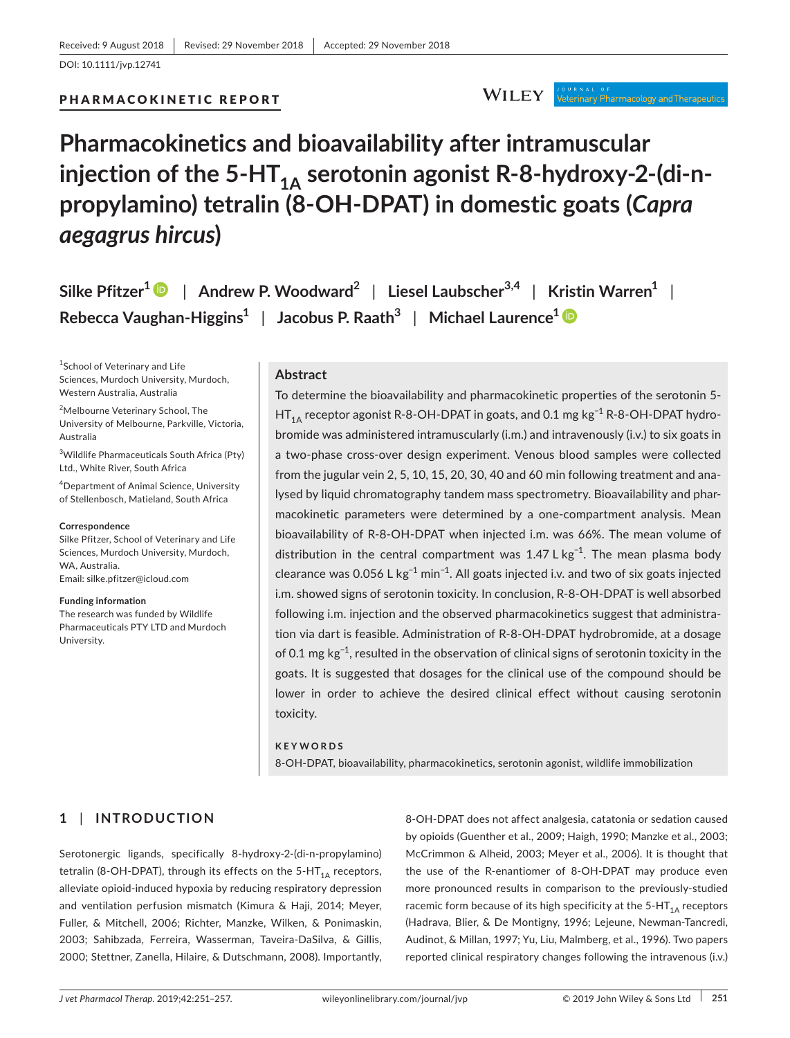PHARMACOKINETIC REPORT

#### **WILEY** י סיא א גב"ס <del>ו</del><br>Veterinary Pharmacology and Therapeutics

# **Pharmacokinetics and bioavailability after intramuscular**  injection of the 5-HT<sub>1A</sub> serotonin agonist R-8-hydroxy-2-(di-n**propylamino) tetralin (8-OH-DPAT) in domestic goats (***Capra aegagrus hircus***)**

**Silke Pfitzer[1](https://orcid.org/0000-0001-8119-3999)** | **Andrew P. Woodward2** | **Liesel Laubscher3,4** | **Kristin Warren<sup>1</sup>** | **Rebecca Vaughan-Higgins<sup>1</sup>** | **Jacobus P. Raath<sup>3</sup>** | **Michael Laurence<sup>1</sup>**

1 School of Veterinary and Life Sciences, Murdoch University, Murdoch, Western Australia, Australia

2 Melbourne Veterinary School, The University of Melbourne, Parkville, Victoria, Australia

3 Wildlife Pharmaceuticals South Africa (Pty) Ltd., White River, South Africa

4 Department of Animal Science, University of Stellenbosch, Matieland, South Africa

#### **Correspondence**

Silke Pfitzer, School of Veterinary and Life Sciences, Murdoch University, Murdoch, WA, Australia. Email: [silke.pfitzer@icloud.com](mailto:silke.pfitzer@icloud.com)

**Funding information**

The research was funded by Wildlife Pharmaceuticals PTY LTD and Murdoch University.

# **Abstract**

To determine the bioavailability and pharmacokinetic properties of the serotonin 5- HT<sub>1A</sub> receptor agonist R-8-OH-DPAT in goats, and 0.1 mg kg<sup>-1</sup> R-8-OH-DPAT hydrobromide was administered intramuscularly (i.m.) and intravenously (i.v.) to six goats in a two-phase cross-over design experiment. Venous blood samples were collected from the jugular vein 2, 5, 10, 15, 20, 30, 40 and 60 min following treatment and analysed by liquid chromatography tandem mass spectrometry. Bioavailability and pharmacokinetic parameters were determined by a one-compartment analysis. Mean bioavailability of R-8-OH-DPAT when injected i.m. was 66%. The mean volume of distribution in the central compartment was 1.47 L kg<sup>-1</sup>. The mean plasma body clearance was 0.056 L kg<sup>-1</sup> min<sup>-1</sup>. All goats injected i.v. and two of six goats injected i.m. showed signs of serotonin toxicity. In conclusion, R-8-OH-DPAT is well absorbed following i.m. injection and the observed pharmacokinetics suggest that administration via dart is feasible. Administration of R-8-OH-DPAT hydrobromide, at a dosage of 0.1 mg kg−1, resulted in the observation of clinical signs of serotonin toxicity in the goats. It is suggested that dosages for the clinical use of the compound should be lower in order to achieve the desired clinical effect without causing serotonin toxicity.

#### **KEYWORDS**

8-OH-DPAT, bioavailability, pharmacokinetics, serotonin agonist, wildlife immobilization

# **1** | **INTRODUCTION**

Serotonergic ligands, specifically 8-hydroxy-2-(di-n-propylamino) tetralin (8-OH-DPAT), through its effects on the  $5-HT_{1A}$  receptors, alleviate opioid-induced hypoxia by reducing respiratory depression and ventilation perfusion mismatch (Kimura & Haji, 2014; Meyer, Fuller, & Mitchell, 2006; Richter, Manzke, Wilken, & Ponimaskin, 2003; Sahibzada, Ferreira, Wasserman, Taveira-DaSilva, & Gillis, 2000; Stettner, Zanella, Hilaire, & Dutschmann, 2008). Importantly,

8-OH-DPAT does not affect analgesia, catatonia or sedation caused by opioids (Guenther et al., 2009; Haigh, 1990; Manzke et al., 2003; McCrimmon & Alheid, 2003; Meyer et al., 2006). It is thought that the use of the R-enantiomer of 8-OH-DPAT may produce even more pronounced results in comparison to the previously-studied racemic form because of its high specificity at the  $5-HT<sub>1A</sub>$  receptors (Hadrava, Blier, & De Montigny, 1996; Lejeune, Newman-Tancredi, Audinot, & Millan, 1997; Yu, Liu, Malmberg, et al., 1996). Two papers reported clinical respiratory changes following the intravenous (i.v.)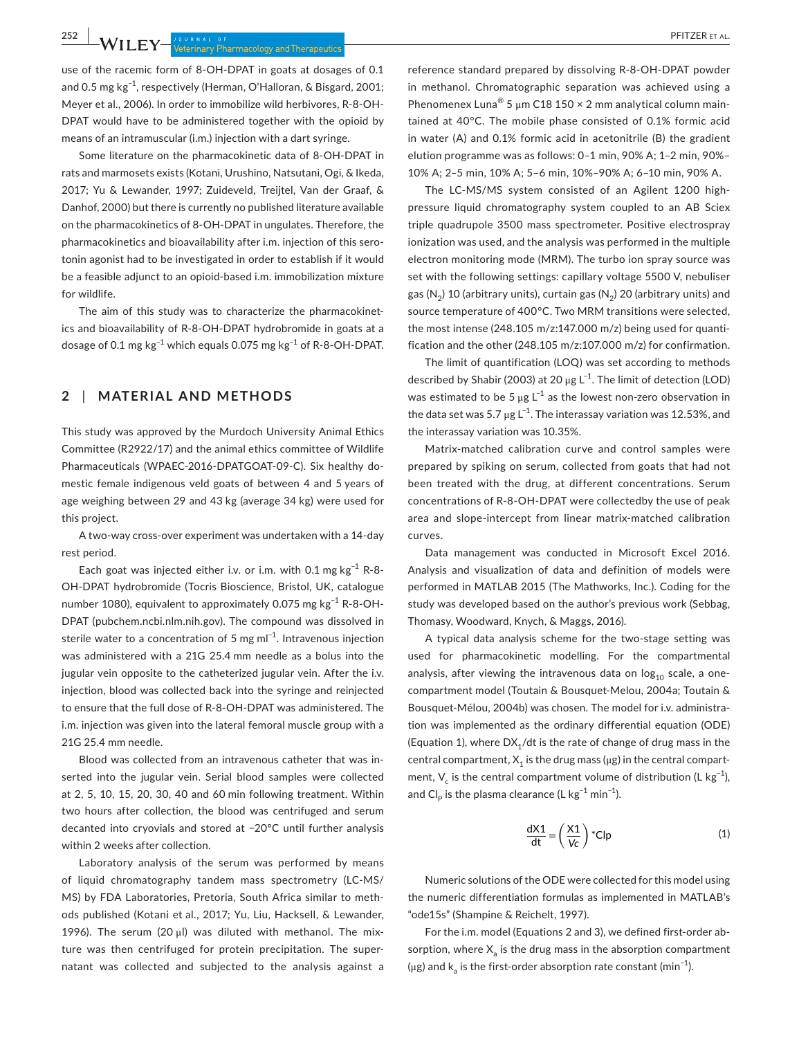**252 |**  PFITZER et al.

use of the racemic form of 8-OH-DPAT in goats at dosages of 0.1 and 0.5 mg kg−1, respectively (Herman, O'Halloran, & Bisgard, 2001; Meyer et al., 2006). In order to immobilize wild herbivores, R-8-OH-DPAT would have to be administered together with the opioid by means of an intramuscular (i.m.) injection with a dart syringe.

Some literature on the pharmacokinetic data of 8-OH-DPAT in rats and marmosets exists (Kotani, Urushino, Natsutani, Ogi, & Ikeda, 2017; Yu & Lewander, 1997; Zuideveld, Treijtel, Van der Graaf, & Danhof, 2000) but there is currently no published literature available on the pharmacokinetics of 8-OH-DPAT in ungulates. Therefore, the pharmacokinetics and bioavailability after i.m. injection of this serotonin agonist had to be investigated in order to establish if it would be a feasible adjunct to an opioid-based i.m. immobilization mixture for wildlife.

The aim of this study was to characterize the pharmacokinetics and bioavailability of R-8-OH-DPAT hydrobromide in goats at a dosage of 0.1 mg kg<sup>-1</sup> which equals 0.075 mg kg<sup>-1</sup> of R-8-OH-DPAT.

## **2** | **MATERIAL AND METHODS**

This study was approved by the Murdoch University Animal Ethics Committee (R2922/17) and the animal ethics committee of Wildlife Pharmaceuticals (WPAEC-2016-DPATGOAT-09-C). Six healthy domestic female indigenous veld goats of between 4 and 5 years of age weighing between 29 and 43 kg (average 34 kg) were used for this project.

A two-way cross-over experiment was undertaken with a 14-day rest period.

Each goat was injected either i.v. or i.m. with 0.1 mg kg−1 R-8- OH-DPAT hydrobromide (Tocris Bioscience, Bristol, UK, catalogue number 1080), equivalent to approximately 0.075 mg kg<sup>-1</sup> R-8-OH-DPAT (pubchem.ncbi.nlm.nih.gov). The compound was dissolved in sterile water to a concentration of 5 mg m $l^{-1}$ . Intravenous injection was administered with a 21G 25.4 mm needle as a bolus into the jugular vein opposite to the catheterized jugular vein. After the i.v. injection, blood was collected back into the syringe and reinjected to ensure that the full dose of R-8-OH-DPAT was administered. The i.m. injection was given into the lateral femoral muscle group with a 21G 25.4 mm needle.

Blood was collected from an intravenous catheter that was inserted into the jugular vein. Serial blood samples were collected at 2, 5, 10, 15, 20, 30, 40 and 60 min following treatment. Within two hours after collection, the blood was centrifuged and serum decanted into cryovials and stored at −20°C until further analysis within 2 weeks after collection.

Laboratory analysis of the serum was performed by means of liquid chromatography tandem mass spectrometry (LC-MS/ MS) by FDA Laboratories, Pretoria, South Africa similar to methods published (Kotani et al., 2017; Yu, Liu, Hacksell, & Lewander, 1996). The serum (20 μl) was diluted with methanol. The mixture was then centrifuged for protein precipitation. The supernatant was collected and subjected to the analysis against a reference standard prepared by dissolving R-8-OH-DPAT powder in methanol. Chromatographic separation was achieved using a Phenomenex Luna® 5  $\mu$ m C18 150 × 2 mm analytical column maintained at 40°C. The mobile phase consisted of 0.1% formic acid in water (A) and 0.1% formic acid in acetonitrile (B) the gradient elution programme was as follows: 0–1 min, 90% A; 1–2 min, 90%– 10% A; 2–5 min, 10% A; 5–6 min, 10%–90% A; 6–10 min, 90% A.

The LC-MS/MS system consisted of an Agilent 1200 highpressure liquid chromatography system coupled to an AB Sciex triple quadrupole 3500 mass spectrometer. Positive electrospray ionization was used, and the analysis was performed in the multiple electron monitoring mode (MRM). The turbo ion spray source was set with the following settings: capillary voltage 5500 V, nebuliser gas  $(N_2)$  10 (arbitrary units), curtain gas  $(N_2)$  20 (arbitrary units) and source temperature of 400°C. Two MRM transitions were selected, the most intense (248.105 m/z:147.000 m/z) being used for quantification and the other (248.105 m/z:107.000 m/z) for confirmation.

The limit of quantification (LOQ) was set according to methods described by Shabir (2003) at 20  $\mu$ g L<sup>-1</sup>. The limit of detection (LOD) was estimated to be 5  $\mu$ g L $^{-1}$  as the lowest non-zero observation in the data set was 5.7 µg L<sup>-1</sup>. The interassay variation was 12.53%, and the interassay variation was 10.35%.

Matrix-matched calibration curve and control samples were prepared by spiking on serum, collected from goats that had not been treated with the drug, at different concentrations. Serum concentrations of R-8-OH-DPAT were collectedby the use of peak area and slope-intercept from linear matrix-matched calibration curves.

Data management was conducted in Microsoft Excel 2016. Analysis and visualization of data and definition of models were performed in MATLAB 2015 (The Mathworks, Inc.). Coding for the study was developed based on the author's previous work (Sebbag, Thomasy, Woodward, Knych, & Maggs, 2016).

A typical data analysis scheme for the two-stage setting was used for pharmacokinetic modelling. For the compartmental analysis, after viewing the intravenous data on  $log<sub>10</sub>$  scale, a onecompartment model (Toutain & Bousquet-Melou, 2004a; Toutain & Bousquet-Mélou, 2004b) was chosen. The model for i.v. administration was implemented as the ordinary differential equation (ODE) (Equation 1), where  $DX_1/dt$  is the rate of change of drug mass in the central compartment,  $X_1$  is the drug mass ( $\mu$ g) in the central compartment, V<sub>c</sub> is the central compartment volume of distribution (L kg<sup>-1</sup>), and Cl<sub>p</sub> is the plasma clearance (L kg<sup>-1</sup> min<sup>-1</sup>).

$$
\frac{dX1}{dt} = \left(\frac{X1}{Vc}\right)^* Clp
$$
 (1)

Numeric solutions of the ODE were collected for this model using the numeric differentiation formulas as implemented in MATLAB's "ode15s" (Shampine & Reichelt, 1997).

For the i.m. model (Equations 2 and 3), we defined first-order absorption, where  $X_a$  is the drug mass in the absorption compartment ( $\mu$ g) and k<sub>a</sub> is the first-order absorption rate constant (min<sup>-1</sup>).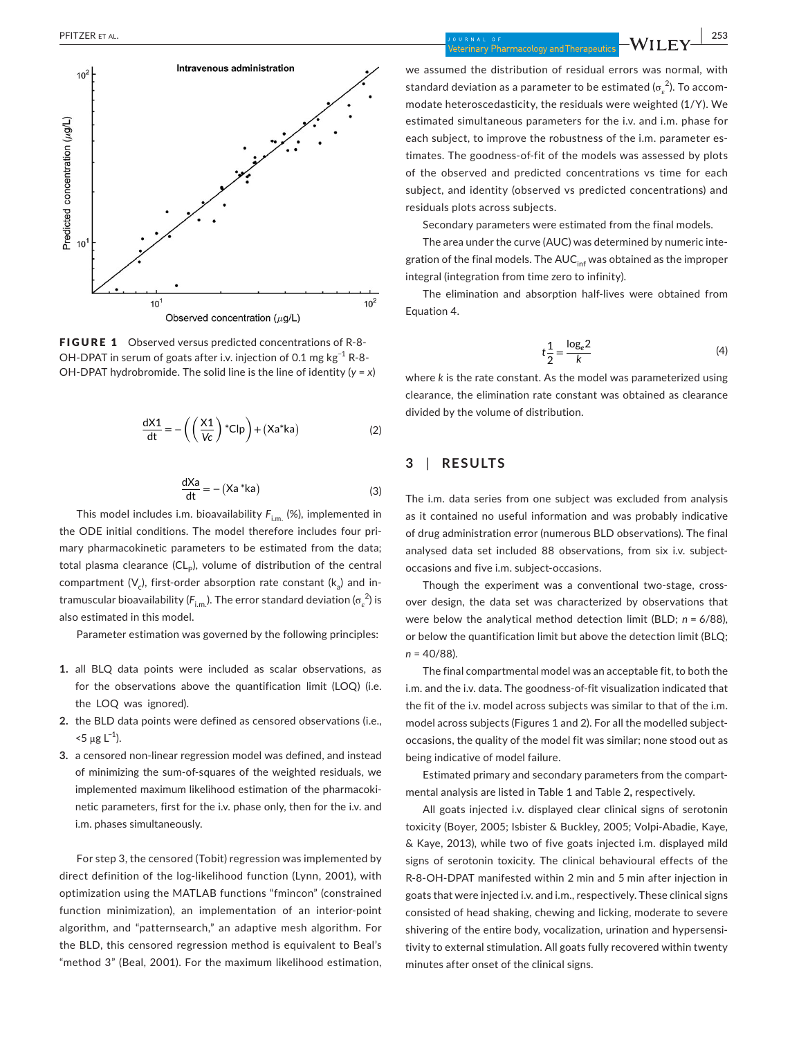

FIGURE 1 Observed versus predicted concentrations of R-8- OH-DPAT in serum of goats after i.v. injection of 0.1 mg kg<sup>-1</sup> R-8-OH-DPAT hydrobromide. The solid line is the line of identity (*y* = *x*)

$$
\frac{dX1}{dt} = -\left(\left(\frac{X1}{Vc}\right)^*Clp\right) + (Xa^*ka)
$$
 (2)

$$
\frac{dXa}{dt} = - (Xa * ka)
$$
 (3)

This model includes i.m. bioavailability  $F_{\text{im}}$  (%), implemented in the ODE initial conditions. The model therefore includes four primary pharmacokinetic parameters to be estimated from the data; total plasma clearance  $(CL_p)$ , volume of distribution of the central compartment  $(V<sub>c</sub>)$ , first-order absorption rate constant  $(k<sub>a</sub>)$  and intramuscular bioavailability ( $F_{\rm i.m.}$ ). The error standard deviation ( $\sigma_{\rm e}^{\ 2}$ ) is also estimated in this model.

Parameter estimation was governed by the following principles:

- **1.** all BLQ data points were included as scalar observations, as for the observations above the quantification limit (LOQ) (i.e. the LOQ was ignored).
- **2.** the BLD data points were defined as censored observations (i.e.,  $15 \mu g L^{-1}$ ).
- **3.** a censored non-linear regression model was defined, and instead of minimizing the sum-of-squares of the weighted residuals, we implemented maximum likelihood estimation of the pharmacokinetic parameters, first for the i.v. phase only, then for the i.v. and i.m. phases simultaneously.

For step 3, the censored (Tobit) regression was implemented by direct definition of the log-likelihood function (Lynn, 2001), with optimization using the MATLAB functions "fmincon" (constrained function minimization), an implementation of an interior-point algorithm, and "patternsearch," an adaptive mesh algorithm. For the BLD, this censored regression method is equivalent to Beal's "method 3" (Beal, 2001). For the maximum likelihood estimation,

we assumed the distribution of residual errors was normal, with standard deviation as a parameter to be estimated ( $\sigma_{_E}^{~2}$ ). To accommodate heteroscedasticity, the residuals were weighted (1/Y). We estimated simultaneous parameters for the i.v. and i.m. phase for each subject, to improve the robustness of the i.m. parameter estimates. The goodness-of-fit of the models was assessed by plots of the observed and predicted concentrations vs time for each subject, and identity (observed vs predicted concentrations) and residuals plots across subjects.

Secondary parameters were estimated from the final models.

The area under the curve (AUC) was determined by numeric integration of the final models. The  $AUC<sub>inf</sub>$  was obtained as the improper integral (integration from time zero to infinity).

The elimination and absorption half-lives were obtained from Equation 4.

$$
t\frac{1}{2} = \frac{\log_e 2}{k} \tag{4}
$$

where *k* is the rate constant. As the model was parameterized using clearance, the elimination rate constant was obtained as clearance divided by the volume of distribution.

# **3** | **RESULTS**

The i.m. data series from one subject was excluded from analysis as it contained no useful information and was probably indicative of drug administration error (numerous BLD observations). The final analysed data set included 88 observations, from six i.v. subjectoccasions and five i.m. subject-occasions.

Though the experiment was a conventional two-stage, crossover design, the data set was characterized by observations that were below the analytical method detection limit (BLD; *n* = 6/88), or below the quantification limit but above the detection limit (BLQ; *n* = 40/88).

The final compartmental model was an acceptable fit, to both the i.m. and the i.v. data. The goodness-of-fit visualization indicated that the fit of the i.v. model across subjects was similar to that of the i.m. model across subjects (Figures 1 and 2). For all the modelled subjectoccasions, the quality of the model fit was similar; none stood out as being indicative of model failure.

Estimated primary and secondary parameters from the compartmental analysis are listed in Table 1 and Table 2**,** respectively.

All goats injected i.v. displayed clear clinical signs of serotonin toxicity (Boyer, 2005; Isbister & Buckley, 2005; Volpi-Abadie, Kaye, & Kaye, 2013), while two of five goats injected i.m. displayed mild signs of serotonin toxicity. The clinical behavioural effects of the R-8-OH-DPAT manifested within 2 min and 5 min after injection in goats that were injected i.v. and i.m., respectively. These clinical signs consisted of head shaking, chewing and licking, moderate to severe shivering of the entire body, vocalization, urination and hypersensitivity to external stimulation. All goats fully recovered within twenty minutes after onset of the clinical signs.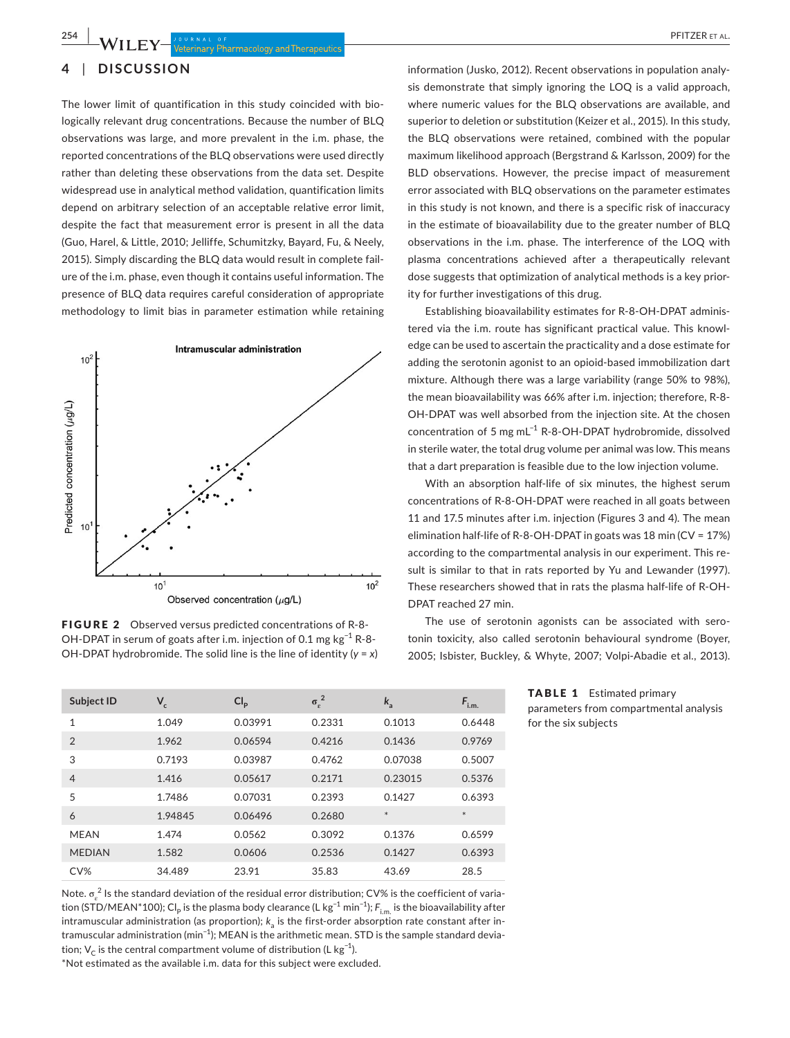# **4** | **DISCUSSION**

The lower limit of quantification in this study coincided with biologically relevant drug concentrations. Because the number of BLQ observations was large, and more prevalent in the i.m. phase, the reported concentrations of the BLQ observations were used directly rather than deleting these observations from the data set. Despite widespread use in analytical method validation, quantification limits depend on arbitrary selection of an acceptable relative error limit, despite the fact that measurement error is present in all the data (Guo, Harel, & Little, 2010; Jelliffe, Schumitzky, Bayard, Fu, & Neely, 2015). Simply discarding the BLQ data would result in complete failure of the i.m. phase, even though it contains useful information. The presence of BLQ data requires careful consideration of appropriate methodology to limit bias in parameter estimation while retaining



FIGURE 2 Observed versus predicted concentrations of R-8- OH-DPAT in serum of goats after i.m. injection of 0.1 mg kg<sup>-1</sup> R-8-OH-DPAT hydrobromide. The solid line is the line of identity (*y* = *x*)

information (Jusko, 2012). Recent observations in population analysis demonstrate that simply ignoring the LOQ is a valid approach, where numeric values for the BLQ observations are available, and superior to deletion or substitution (Keizer et al., 2015). In this study, the BLQ observations were retained, combined with the popular maximum likelihood approach (Bergstrand & Karlsson, 2009) for the BLD observations. However, the precise impact of measurement error associated with BLQ observations on the parameter estimates in this study is not known, and there is a specific risk of inaccuracy in the estimate of bioavailability due to the greater number of BLQ observations in the i.m. phase. The interference of the LOQ with plasma concentrations achieved after a therapeutically relevant dose suggests that optimization of analytical methods is a key priority for further investigations of this drug.

Establishing bioavailability estimates for R-8-OH-DPAT administered via the i.m. route has significant practical value. This knowledge can be used to ascertain the practicality and a dose estimate for adding the serotonin agonist to an opioid-based immobilization dart mixture. Although there was a large variability (range 50% to 98%), the mean bioavailability was 66% after i.m. injection; therefore, R-8- OH-DPAT was well absorbed from the injection site. At the chosen concentration of 5 mg mL−1 R-8-OH-DPAT hydrobromide, dissolved in sterile water, the total drug volume per animal was low. This means that a dart preparation is feasible due to the low injection volume.

With an absorption half-life of six minutes, the highest serum concentrations of R-8-OH-DPAT were reached in all goats between 11 and 17.5 minutes after i.m. injection (Figures 3 and 4). The mean elimination half-life of R-8-OH-DPAT in goats was 18 min (CV = 17%) according to the compartmental analysis in our experiment. This result is similar to that in rats reported by Yu and Lewander (1997). These researchers showed that in rats the plasma half-life of R-OH-DPAT reached 27 min.

The use of serotonin agonists can be associated with serotonin toxicity, also called serotonin behavioural syndrome (Boyer, 2005; Isbister, Buckley, & Whyte, 2007; Volpi-Abadie et al., 2013).

|                      | <b>TABLE 1</b> Estimated primary       |
|----------------------|----------------------------------------|
|                      | parameters from compartmental analysis |
| for the six subjects |                                        |

| Subject ID     | $V_c$   | Cl <sub>p</sub> | $\sigma_{\epsilon}^2$ | $k_{\rm a}$ | $F_{i,m}$ |
|----------------|---------|-----------------|-----------------------|-------------|-----------|
| $\mathbf{1}$   | 1.049   | 0.03991         | 0.2331                | 0.1013      | 0.6448    |
| $\mathfrak{D}$ | 1.962   | 0.06594         | 0.4216                | 0.1436      | 0.9769    |
| 3              | 0.7193  | 0.03987         | 0.4762                | 0.07038     | 0.5007    |
| $\overline{4}$ | 1.416   | 0.05617         | 0.2171                | 0.23015     | 0.5376    |
| 5              | 1.7486  | 0.07031         | 0.2393                | 0.1427      | 0.6393    |
| 6              | 1.94845 | 0.06496         | 0.2680                | $*$         | $*$       |
| <b>MFAN</b>    | 1.474   | 0.0562          | 0.3092                | 0.1376      | 0.6599    |
| <b>MEDIAN</b>  | 1.582   | 0.0606          | 0.2536                | 0.1427      | 0.6393    |
| CV%            | 34.489  | 23.91           | 35.83                 | 43.69       | 28.5      |

Note.  $\sigma_e^2$  Is the standard deviation of the residual error distribution; CV% is the coefficient of variation (STD/MEAN\*100); Cl<sub>P</sub> is the plasma body clearance (L kg<sup>-1</sup> min<sup>-1</sup>); *F*<sub>i.m.</sub> is the bioavailability after intramuscular administration (as proportion);  $k_a$  is the first-order absorption rate constant after intramuscular administration (min<sup>-1</sup>); MEAN is the arithmetic mean. STD is the sample standard deviation;  $V_C$  is the central compartment volume of distribution (L kg<sup>-1</sup>).

\*Not estimated as the available i.m. data for this subject were excluded.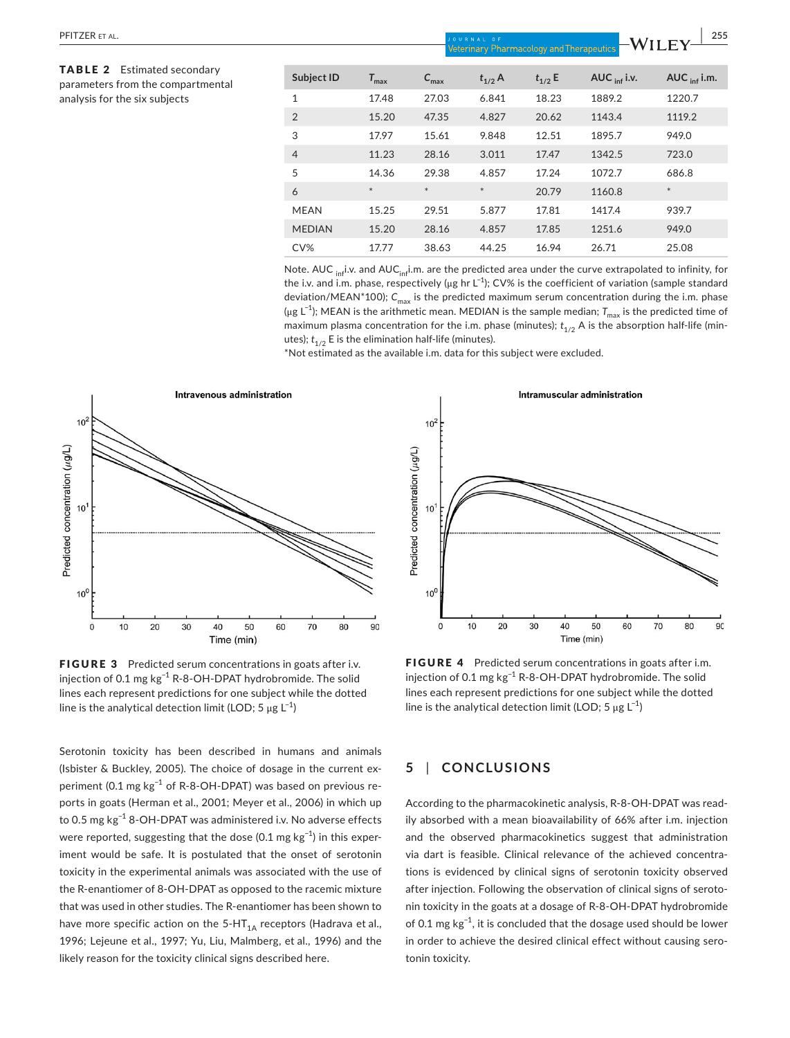| PFITZER ET AL.                                                          | JOURNAL OF<br>-Wiley-<br><b>Veterinary Pharmacology and Therapeutics</b> |                  |                  |             |             |                          |                          |
|-------------------------------------------------------------------------|--------------------------------------------------------------------------|------------------|------------------|-------------|-------------|--------------------------|--------------------------|
| <b>TABLE 2</b> Estimated secondary<br>parameters from the compartmental | Subject ID                                                               | $T_{\text{max}}$ | $C_{\text{max}}$ | $t_{1/2}$ A | $t_{1/2}$ E | AUC $_{\text{inf}}$ i.v. | AUC $_{\text{inf}}$ i.m. |
| analysis for the six subjects                                           | 1                                                                        | 17.48            | 27.03            | 6.841       | 18.23       | 1889.2                   | 1220.7                   |
|                                                                         | $\overline{2}$                                                           | 15.20            | 47.35            | 4.827       | 20.62       | 1143.4                   | 1119.2                   |
|                                                                         | 3                                                                        | 17.97            | 15.61            | 9.848       | 12.51       | 1895.7                   | 949.0                    |
|                                                                         | $\overline{4}$                                                           | 11.23            | 28.16            | 3.011       | 17.47       | 1342.5                   | 723.0                    |
|                                                                         | 5                                                                        | 14.36            | 29.38            | 4.857       | 17.24       | 1072.7                   | 686.8                    |
|                                                                         | 6                                                                        | $\ast$           | $\ast$           | $\ast$      | 20.79       | 1160.8                   | $\ast$                   |
|                                                                         | <b>MEAN</b>                                                              | 15.25            | 29.51            | 5.877       | 17.81       | 1417.4                   | 939.7                    |
|                                                                         | <b>MEDIAN</b>                                                            | 15.20            | 28.16            | 4.857       | 17.85       | 1251.6                   | 949.0                    |
|                                                                         | CV%                                                                      | 17.77            | 38.63            | 44.25       | 16.94       | 26.71                    | 25.08                    |

Note. AUC  $_{\text{inf}}$ i.v. and AUC<sub>inf</sub>i.m. are the predicted area under the curve extrapolated to infinity, for the i.v. and i.m. phase, respectively ( $\mu$ g hr L<sup>-1</sup>); CV% is the coefficient of variation (sample standard deviation/MEAN\*100); *C*max is the predicted maximum serum concentration during the i.m. phase (μg L<sup>−1</sup>); MEAN is the arithmetic mean. MEDIAN is the sample median; *T<sub>max</sub>* is the predicted time of maximum plasma concentration for the i.m. phase (minutes);  $t_{1/2}$  A is the absorption half-life (minutes);  $t_{1/2}$  E is the elimination half-life (minutes).

\*Not estimated as the available i.m. data for this subject were excluded.



FIGURE 3 Predicted serum concentrations in goats after i.v. injection of 0.1 mg kg−1 R-8-OH-DPAT hydrobromide. The solid lines each represent predictions for one subject while the dotted line is the analytical detection limit (LOD; 5  $\mu$ g L $^{-1}$ )

Serotonin toxicity has been described in humans and animals (Isbister & Buckley, 2005). The choice of dosage in the current experiment (0.1 mg kg<sup>-1</sup> of R-8-OH-DPAT) was based on previous reports in goats (Herman et al., 2001; Meyer et al., 2006) in which up to 0.5 mg kg−1 8-OH-DPAT was administered i.v. No adverse effects were reported, suggesting that the dose (0.1 mg  $kg^{-1}$ ) in this experiment would be safe. It is postulated that the onset of serotonin toxicity in the experimental animals was associated with the use of the R-enantiomer of 8-OH-DPAT as opposed to the racemic mixture that was used in other studies. The R-enantiomer has been shown to have more specific action on the  $5-HT<sub>1A</sub>$  receptors (Hadrava et al., 1996; Lejeune et al., 1997; Yu, Liu, Malmberg, et al., 1996) and the likely reason for the toxicity clinical signs described here.



FIGURE 4 Predicted serum concentrations in goats after i.m. injection of 0.1 mg kg−1 R-8-OH-DPAT hydrobromide. The solid lines each represent predictions for one subject while the dotted line is the analytical detection limit (LOD; 5  $\mu$ g L<sup>-1</sup>)

# **5** | **CONCLUSIONS**

According to the pharmacokinetic analysis, R-8-OH-DPAT was readily absorbed with a mean bioavailability of 66% after i.m. injection and the observed pharmacokinetics suggest that administration via dart is feasible. Clinical relevance of the achieved concentrations is evidenced by clinical signs of serotonin toxicity observed after injection. Following the observation of clinical signs of serotonin toxicity in the goats at a dosage of R-8-OH-DPAT hydrobromide of 0.1 mg  $kg^{-1}$ , it is concluded that the dosage used should be lower in order to achieve the desired clinical effect without causing serotonin toxicity.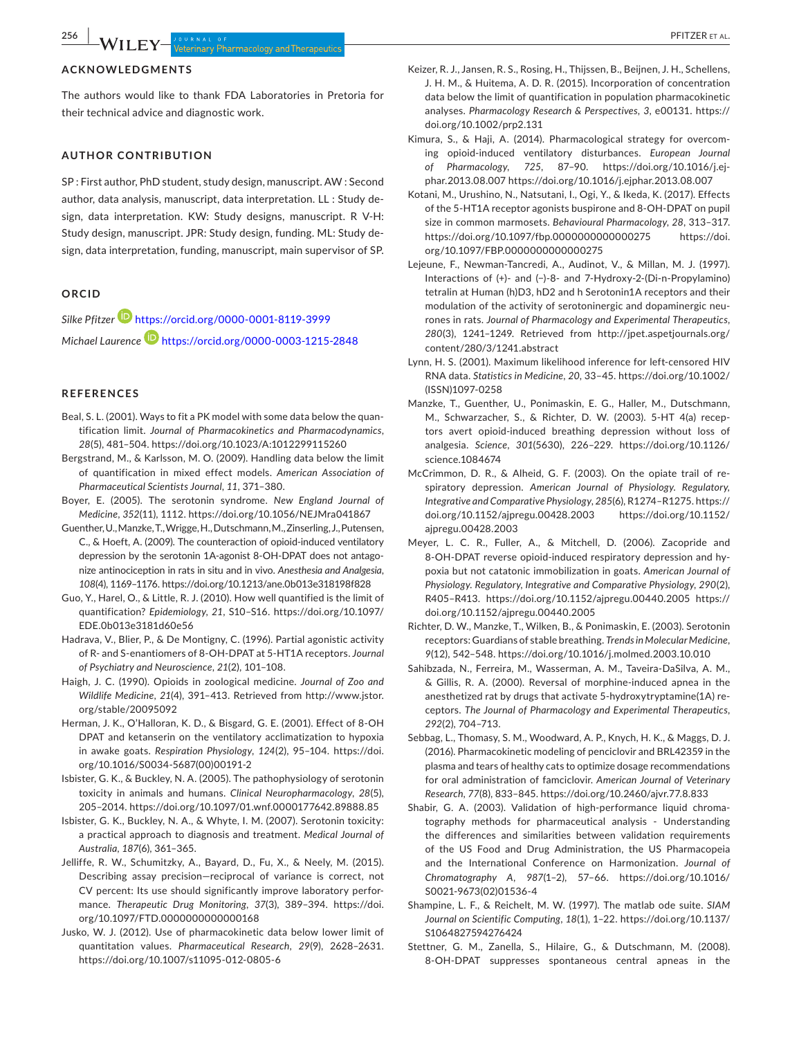### **ACKNOWLEDGMENTS**

The authors would like to thank FDA Laboratories in Pretoria for their technical advice and diagnostic work.

## **AUTHOR CONTRIBUTION**

SP : First author, PhD student, study design, manuscript. AW : Second author, data analysis, manuscript, data interpretation. LL : Study design, data interpretation. KW: Study designs, manuscript. R V-H: Study design, manuscript. JPR: Study design, funding. ML: Study design, data interpretation, funding, manuscript, main supervisor of SP.

#### **ORCID**

*Silke Pfitzer* <https://orcid.org/0000-0001-8119-3999> *Michael Laurence* <https://orcid.org/0000-0003-1215-2848>

#### **REFERENCES**

- Beal, S. L. (2001). Ways to fit a PK model with some data below the quantification limit. *Journal of Pharmacokinetics and Pharmacodynamics*, *28*(5), 481–504.<https://doi.org/10.1023/A:1012299115260>
- Bergstrand, M., & Karlsson, M. O. (2009). Handling data below the limit of quantification in mixed effect models. *American Association of Pharmaceutical Scientists Journal*, *11*, 371–380.
- Boyer, E. (2005). The serotonin syndrome. *New England Journal of Medicine*, *352*(11), 1112.<https://doi.org/10.1056/NEJMra041867>
- Guenther, U., Manzke, T., Wrigge, H., Dutschmann, M., Zinserling, J., Putensen, C., & Hoeft, A. (2009). The counteraction of opioid-induced ventilatory depression by the serotonin 1A-agonist 8-OH-DPAT does not antagonize antinociception in rats in situ and in vivo. *Anesthesia and Analgesia*, *108*(4), 1169–1176.<https://doi.org/10.1213/ane.0b013e318198f828>
- Guo, Y., Harel, O., & Little, R. J. (2010). How well quantified is the limit of quantification? *Epidemiology*, *21*, S10–S16. [https://doi.org/10.1097/](https://doi.org/10.1097/EDE.0b013e3181d60e56) [EDE.0b013e3181d60e56](https://doi.org/10.1097/EDE.0b013e3181d60e56)
- Hadrava, V., Blier, P., & De Montigny, C. (1996). Partial agonistic activity of R- and S-enantiomers of 8-OH-DPAT at 5-HT1A receptors. *Journal of Psychiatry and Neuroscience*, *21*(2), 101–108.
- Haigh, J. C. (1990). Opioids in zoological medicine. *Journal of Zoo and Wildlife Medicine*, *21*(4), 391–413. Retrieved from [http://www.jstor.](http://www.jstor.org/stable/20095092) [org/stable/20095092](http://www.jstor.org/stable/20095092)
- Herman, J. K., O'Halloran, K. D., & Bisgard, G. E. (2001). Effect of 8-OH DPAT and ketanserin on the ventilatory acclimatization to hypoxia in awake goats. *Respiration Physiology*, *124*(2), 95–104. [https://doi.](https://doi.org/10.1016/S0034-5687(00)00191-2) [org/10.1016/S0034-5687\(00\)00191-2](https://doi.org/10.1016/S0034-5687(00)00191-2)
- Isbister, G. K., & Buckley, N. A. (2005). The pathophysiology of serotonin toxicity in animals and humans. *Clinical Neuropharmacology*, *28*(5), 205–2014. <https://doi.org/10.1097/01.wnf.0000177642.89888.85>
- Isbister, G. K., Buckley, N. A., & Whyte, I. M. (2007). Serotonin toxicity: a practical approach to diagnosis and treatment. *Medical Journal of Australia*, *187*(6), 361–365.
- Jelliffe, R. W., Schumitzky, A., Bayard, D., Fu, X., & Neely, M. (2015). Describing assay precision—reciprocal of variance is correct, not CV percent: Its use should significantly improve laboratory performance. *Therapeutic Drug Monitoring*, *37*(3), 389–394. [https://doi.](https://doi.org/10.1097/FTD.0000000000000168) [org/10.1097/FTD.0000000000000168](https://doi.org/10.1097/FTD.0000000000000168)
- Jusko, W. J. (2012). Use of pharmacokinetic data below lower limit of quantitation values. *Pharmaceutical Research*, *29*(9), 2628–2631. <https://doi.org/10.1007/s11095-012-0805-6>
- Keizer, R. J., Jansen, R. S., Rosing, H., Thijssen, B., Beijnen, J. H., Schellens, J. H. M., & Huitema, A. D. R. (2015). Incorporation of concentration data below the limit of quantification in population pharmacokinetic analyses. *Pharmacology Research & Perspectives*, *3*, e00131. [https://](https://doi.org/10.1002/prp2.131) [doi.org/10.1002/prp2.131](https://doi.org/10.1002/prp2.131)
- Kimura, S., & Haji, A. (2014). Pharmacological strategy for overcoming opioid-induced ventilatory disturbances. *European Journal of Pharmacology*, *725*, 87–90. [https://doi.org/10.1016/j.ej](https://doi.org/10.1016/j.ejphar.2013.08.007)[phar.2013.08.007 https://doi.org/10.1016/j.ejphar.2013.08.007](https://doi.org/10.1016/j.ejphar.2013.08.007)
- Kotani, M., Urushino, N., Natsutani, I., Ogi, Y., & Ikeda, K. (2017). Effects of the 5-HT1A receptor agonists buspirone and 8-OH-DPAT on pupil size in common marmosets. *Behavioural Pharmacology*, *28*, 313–317. <https://doi.org/10.1097/fbp.0000000000000275>[https://doi.](https://doi.org/10.1097/FBP.0000000000000275) [org/10.1097/FBP.0000000000000275](https://doi.org/10.1097/FBP.0000000000000275)
- Lejeune, F., Newman-Tancredi, A., Audinot, V., & Millan, M. J. (1997). Interactions of (+)- and (−)-8- and 7-Hydroxy-2-(Di-n-Propylamino) tetralin at Human (h)D3, hD2 and h Serotonin1A receptors and their modulation of the activity of serotoninergic and dopaminergic neurones in rats. *Journal of Pharmacology and Experimental Therapeutics*, *280*(3), 1241–1249. Retrieved from [http://jpet.aspetjournals.org/](http://jpet.aspetjournals.org/content/280/3/1241.abstract) [content/280/3/1241.abstract](http://jpet.aspetjournals.org/content/280/3/1241.abstract)
- Lynn, H. S. (2001). Maximum likelihood inference for left-censored HIV RNA data. *Statistics in Medicine*, *20*, 33–45. [https://doi.org/10.1002/](https://doi.org/10.1002/(ISSN)1097-0258) [\(ISSN\)1097-0258](https://doi.org/10.1002/(ISSN)1097-0258)
- Manzke, T., Guenther, U., Ponimaskin, E. G., Haller, M., Dutschmann, M., Schwarzacher, S., & Richter, D. W. (2003). 5-HT 4(a) receptors avert opioid-induced breathing depression without loss of analgesia. *Science*, *301*(5630), 226–229. [https://doi.org/10.1126/](https://doi.org/10.1126/science.1084674) [science.1084674](https://doi.org/10.1126/science.1084674)
- McCrimmon, D. R., & Alheid, G. F. (2003). On the opiate trail of respiratory depression. *American Journal of Physiology. Regulatory, Integrative and Comparative Physiology*, *285*(6), R1274–R1275. [https://](https://doi.org/10.1152/ajpregu.00428.2003) [doi.org/10.1152/ajpregu.00428.2003](https://doi.org/10.1152/ajpregu.00428.2003) [https://doi.org/10.1152/](https://doi.org/10.1152/ajpregu.00428.2003) [ajpregu.00428.2003](https://doi.org/10.1152/ajpregu.00428.2003)
- Meyer, L. C. R., Fuller, A., & Mitchell, D. (2006). Zacopride and 8-OH-DPAT reverse opioid-induced respiratory depression and hypoxia but not catatonic immobilization in goats. *American Journal of Physiology. Regulatory, Integrative and Comparative Physiology*, *290*(2), R405–R413. <https://doi.org/10.1152/ajpregu.00440.2005> [https://](https://doi.org/10.1152/ajpregu.00440.2005) [doi.org/10.1152/ajpregu.00440.2005](https://doi.org/10.1152/ajpregu.00440.2005)
- Richter, D. W., Manzke, T., Wilken, B., & Ponimaskin, E. (2003). Serotonin receptors: Guardians of stable breathing. *Trends in Molecular Medicine*, *9*(12), 542–548. <https://doi.org/10.1016/j.molmed.2003.10.010>
- Sahibzada, N., Ferreira, M., Wasserman, A. M., Taveira-DaSilva, A. M., & Gillis, R. A. (2000). Reversal of morphine-induced apnea in the anesthetized rat by drugs that activate 5-hydroxytryptamine(1A) receptors. *The Journal of Pharmacology and Experimental Therapeutics*, *292*(2), 704–713.
- Sebbag, L., Thomasy, S. M., Woodward, A. P., Knych, H. K., & Maggs, D. J. (2016). Pharmacokinetic modeling of penciclovir and BRL42359 in the plasma and tears of healthy cats to optimize dosage recommendations for oral administration of famciclovir. *American Journal of Veterinary Research*, *77*(8), 833–845. <https://doi.org/10.2460/ajvr.77.8.833>
- Shabir, G. A. (2003). Validation of high-performance liquid chromatography methods for pharmaceutical analysis - Understanding the differences and similarities between validation requirements of the US Food and Drug Administration, the US Pharmacopeia and the International Conference on Harmonization. *Journal of Chromatography A*, *987*(1–2), 57–66. [https://doi.org/10.1016/](https://doi.org/10.1016/S0021-9673(02)01536-4) [S0021-9673\(02\)01536-4](https://doi.org/10.1016/S0021-9673(02)01536-4)
- Shampine, L. F., & Reichelt, M. W. (1997). The matlab ode suite. *SIAM Journal on Scientific Computing*, *18*(1), 1–22. [https://doi.org/10.1137/](https://doi.org/10.1137/S1064827594276424) [S1064827594276424](https://doi.org/10.1137/S1064827594276424)
- Stettner, G. M., Zanella, S., Hilaire, G., & Dutschmann, M. (2008). 8-OH-DPAT suppresses spontaneous central apneas in the